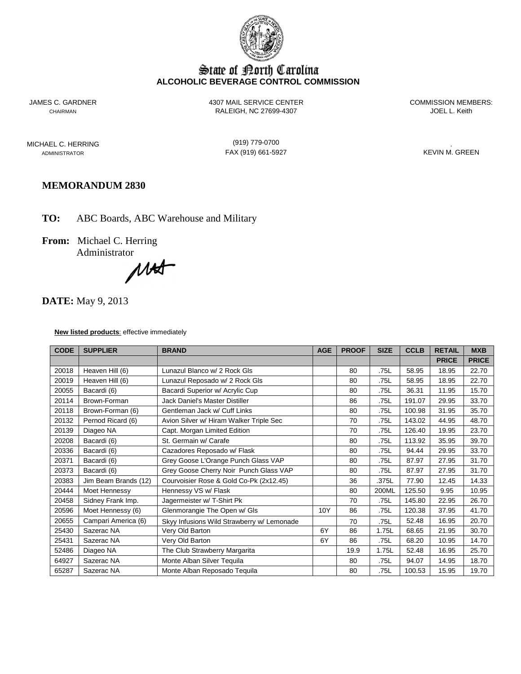

# State of Borth Carolina **ALCOHOLIC BEVERAGE CONTROL COMMISSION**

JAMES C. GARDNER 4307 MAIL SERVICE CENTER COMMISSION MEMBERS: CHAIRMAN RALEIGH, NC 27699-4307

MICHAEL C. HERRING (919) 779-0700 .

ADMINISTRATOR FAX (919) 661-5927

# **MEMORANDUM 2830**

**TO:** ABC Boards, ABC Warehouse and Military

**From:** Michael C. Herring

Administrator<br>
MA

**DATE:** May 9, 2013

**New listed products**: effective immediately

| <b>CODE</b> | <b>SUPPLIER</b>      | <b>BRAND</b>                               |     | <b>PROOF</b> | <b>SIZE</b> | <b>CCLB</b> | <b>RETAIL</b> | <b>MXB</b>   |
|-------------|----------------------|--------------------------------------------|-----|--------------|-------------|-------------|---------------|--------------|
|             |                      |                                            |     |              |             |             | <b>PRICE</b>  | <b>PRICE</b> |
| 20018       | Heaven Hill (6)      | Lunazul Blanco w/ 2 Rock Gls               |     | 80           | .75L        | 58.95       | 18.95         | 22.70        |
| 20019       | Heaven Hill (6)      | Lunazul Reposado w/ 2 Rock Gls             |     | 80           | .75L        | 58.95       | 18.95         | 22.70        |
| 20055       | Bacardi (6)          | Bacardi Superior w/ Acrylic Cup            |     | 80           | .75L        | 36.31       | 11.95         | 15.70        |
| 20114       | Brown-Forman         | Jack Daniel's Master Distiller             |     | 86           | .75L        | 191.07      | 29.95         | 33.70        |
| 20118       | Brown-Forman (6)     | Gentleman Jack w/ Cuff Links               |     | 80           | .75L        | 100.98      | 31.95         | 35.70        |
| 20132       | Pernod Ricard (6)    | Avion Silver w/ Hiram Walker Triple Sec    |     | 70           | .75L        | 143.02      | 44.95         | 48.70        |
| 20139       | Diageo NA            | Capt. Morgan Limited Edition               |     | 70           | .75L        | 126.40      | 19.95         | 23.70        |
| 20208       | Bacardi (6)          | St. Germain w/ Carafe                      |     | 80           | .75L        | 113.92      | 35.95         | 39.70        |
| 20336       | Bacardi (6)          | Cazadores Reposado w/ Flask                |     | 80           | .75L        | 94.44       | 29.95         | 33.70        |
| 20371       | Bacardi (6)          | Grey Goose L'Orange Punch Glass VAP        |     | 80           | .75L        | 87.97       | 27.95         | 31.70        |
| 20373       | Bacardi (6)          | Grey Goose Cherry Noir Punch Glass VAP     |     | 80           | .75L        | 87.97       | 27.95         | 31.70        |
| 20383       | Jim Beam Brands (12) | Courvoisier Rose & Gold Co-Pk (2x12.45)    |     | 36           | .375L       | 77.90       | 12.45         | 14.33        |
| 20444       | Moet Hennessy        | Hennessy VS w/ Flask                       |     | 80           | 200ML       | 125.50      | 9.95          | 10.95        |
| 20458       | Sidney Frank Imp.    | Jagermeister w/ T-Shirt Pk                 |     | 70           | .75L        | 145.80      | 22.95         | 26.70        |
| 20596       | Moet Hennessy (6)    | Glenmorangie The Open w/ Gls               | 10Y | 86           | .75L        | 120.38      | 37.95         | 41.70        |
| 20655       | Campari America (6)  | Skyy Infusions Wild Strawberry w/ Lemonade |     | 70           | .75L        | 52.48       | 16.95         | 20.70        |
| 25430       | Sazerac NA           | Very Old Barton                            | 6Y  | 86           | 1.75L       | 68.65       | 21.95         | 30.70        |
| 25431       | Sazerac NA           | Very Old Barton                            | 6Y  | 86           | .75L        | 68.20       | 10.95         | 14.70        |
| 52486       | Diageo NA            | The Club Strawberry Margarita              |     | 19.9         | 1.75L       | 52.48       | 16.95         | 25.70        |
| 64927       | Sazerac NA           | Monte Alban Silver Tequila                 |     | 80           | .75L        | 94.07       | 14.95         | 18.70        |
| 65287       | Sazerac NA           | Monte Alban Reposado Tequila               |     | 80           | .75L        | 100.53      | 15.95         | 19.70        |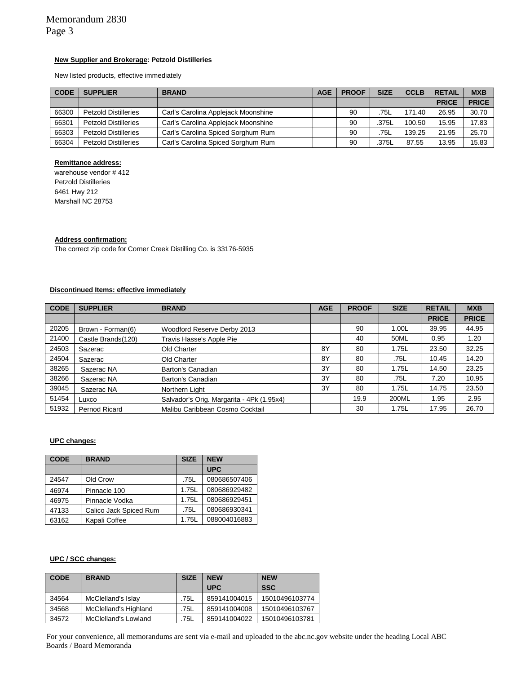#### **New Supplier and Brokerage: Petzold Distilleries**

New listed products, effective immediately

| <b>CODE</b> | <b>BRAND</b><br><b>SUPPLIER</b> |                                     | <b>AGE</b> | <b>PROOF</b> | <b>SIZE</b> | <b>CCLB</b> | <b>RETAIL</b> | <b>MXB</b>   |
|-------------|---------------------------------|-------------------------------------|------------|--------------|-------------|-------------|---------------|--------------|
|             |                                 |                                     |            |              |             |             | <b>PRICE</b>  | <b>PRICE</b> |
| 66300       | <b>Petzold Distilleries</b>     | Carl's Carolina Applejack Moonshine |            | 90           | 75L         | 171.40      | 26.95         | 30.70        |
| 66301       | <b>Petzold Distilleries</b>     | Carl's Carolina Applejack Moonshine |            | 90           | .375L       | 100.50      | 15.95         | 17.83        |
| 66303       | <b>Petzold Distilleries</b>     | Carl's Carolina Spiced Sorghum Rum  |            | 90           | .75L        | 139.25      | 21.95         | 25.70        |
| 66304       | <b>Petzold Distilleries</b>     | Carl's Carolina Spiced Sorghum Rum  |            | 90           | .375L       | 87.55       | 13.95         | 15.83        |

#### **Remittance address:**

warehouse vendor # 412 Petzold Distilleries 6461 Hwy 212 Marshall NC 28753

### **Address confirmation:**

The correct zip code for Corner Creek Distilling Co. is 33176-5935

#### **Discontinued Items: effective immediately**

| <b>CODE</b> | <b>SUPPLIER</b>    | <b>BRAND</b>                              | <b>AGE</b> | <b>PROOF</b> | <b>SIZE</b> | <b>RETAIL</b> | <b>MXB</b>   |
|-------------|--------------------|-------------------------------------------|------------|--------------|-------------|---------------|--------------|
|             |                    |                                           |            |              |             | <b>PRICE</b>  | <b>PRICE</b> |
| 20205       | Brown - Forman(6)  | Woodford Reserve Derby 2013               |            | 90           | 1.00L       | 39.95         | 44.95        |
| 21400       | Castle Brands(120) | Travis Hasse's Apple Pie                  |            | 40           | 50ML        | 0.95          | 1.20         |
| 24503       | Sazerac            | Old Charter                               | 8Y         | 80           | 1.75L       | 23.50         | 32.25        |
| 24504       | Sazerac            | Old Charter                               | 8Y         | 80           | .75L        | 10.45         | 14.20        |
| 38265       | Sazerac NA         | Barton's Canadian                         | 3Y         | 80           | 1.75L       | 14.50         | 23.25        |
| 38266       | Sazerac NA         | Barton's Canadian                         | 3Y         | 80           | .75L        | 7.20          | 10.95        |
| 39045       | Sazerac NA         | Northern Light                            | 3Y         | 80           | 1.75L       | 14.75         | 23.50        |
| 51454       | Luxco              | Salvador's Orig. Margarita - 4Pk (1.95x4) |            | 19.9         | 200ML       | 1.95          | 2.95         |
| 51932       | Pernod Ricard      | Malibu Caribbean Cosmo Cocktail           |            | 30           | 1.75L       | 17.95         | 26.70        |

#### **UPC changes:**

| <b>CODE</b> | <b>BRAND</b>           |       | <b>NEW</b>   |
|-------------|------------------------|-------|--------------|
|             |                        |       | <b>UPC</b>   |
| 24547       | Old Crow               | .75L  | 080686507406 |
| 46974       | Pinnacle 100           | 1.75L | 080686929482 |
| 46975       | Pinnacle Vodka         | 1.75L | 080686929451 |
| 47133       | Calico Jack Spiced Rum | .75L  | 080686930341 |
| 63162       | Kapali Coffee          | 1.75L | 088004016883 |

### **UPC / SCC changes:**

| <b>CODE</b> | <b>BRAND</b>          | <b>SIZE</b> | <b>NEW</b>   | <b>NEW</b>     |
|-------------|-----------------------|-------------|--------------|----------------|
|             |                       |             | <b>UPC</b>   | <b>SSC</b>     |
| 34564       | McClelland's Islay    | .75L        | 859141004015 | 15010496103774 |
| 34568       | McClelland's Highland | .75L        | 859141004008 | 15010496103767 |
| 34572       | McClelland's Lowland  | .75L        | 859141004022 | 15010496103781 |

For your convenience, all memorandums are sent via e-mail and uploaded to the abc.nc.gov website under the heading Local ABC Boards / Board Memoranda